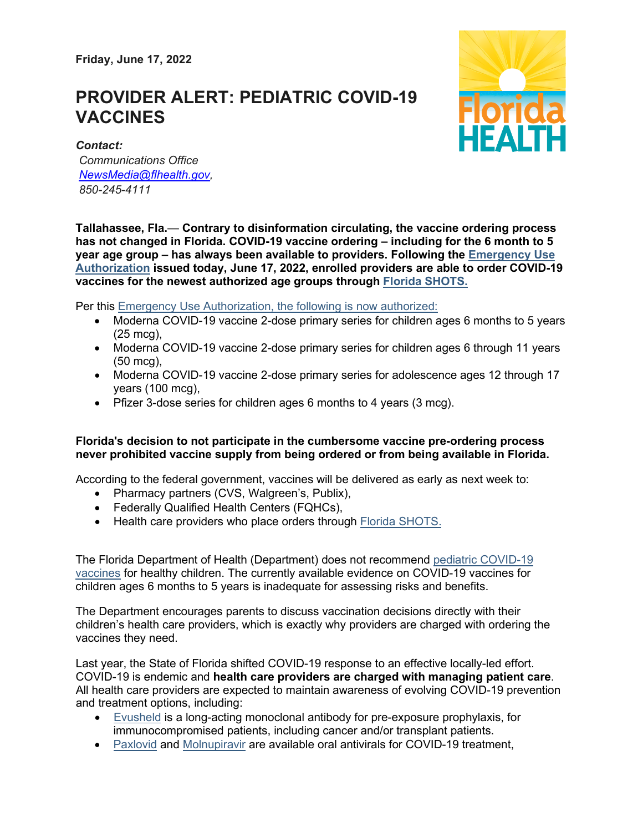**Friday, June 17, 2022**

## **PROVIDER ALERT: PEDIATRIC COVID-19 VACCINES**



*Contact: Communications Office [NewsMedia@flhealth.gov,](mailto:NewsMedia@flhealth.gov) 850-245-4111*

**Tallahassee, Fla.**— **Contrary to disinformation circulating, the vaccine ordering process has not changed in Florida. COVID-19 vaccine ordering – including for the 6 month to 5 year age group – has always been available to providers. Following the [Emergency](https://gcc02.safelinks.protection.outlook.com/?url=https%3A%2F%2Fwww.fda.gov%2Fnews-events%2Fpress-announcements%2Fcoronavirus-covid-19-update-fda-authorizes-moderna-and-pfizer-biontech-covid-19-vaccines-children%3Futm_medium%3Demail%26utm_source%3Dgovdelivery&data=05%7C01%7CWilliam.Fry%40flhealth.gov%7C972d7748022d42b9f57608da5092c5b9%7C28cd8f803c444b2781a0cd2b03a31b8d%7C0%7C0%7C637910888582335917%7CUnknown%7CTWFpbGZsb3d8eyJWIjoiMC4wLjAwMDAiLCJQIjoiV2luMzIiLCJBTiI6Ik1haWwiLCJXVCI6Mn0%3D%7C3000%7C%7C%7C&sdata=1E1qvyOK2lI5rFxX8fOct7GbmKl%2FPWcMV%2B2E8iefmVU%3D&reserved=0) Use [Authorization](https://gcc02.safelinks.protection.outlook.com/?url=https%3A%2F%2Fwww.fda.gov%2Fnews-events%2Fpress-announcements%2Fcoronavirus-covid-19-update-fda-authorizes-moderna-and-pfizer-biontech-covid-19-vaccines-children%3Futm_medium%3Demail%26utm_source%3Dgovdelivery&data=05%7C01%7CWilliam.Fry%40flhealth.gov%7C972d7748022d42b9f57608da5092c5b9%7C28cd8f803c444b2781a0cd2b03a31b8d%7C0%7C0%7C637910888582335917%7CUnknown%7CTWFpbGZsb3d8eyJWIjoiMC4wLjAwMDAiLCJQIjoiV2luMzIiLCJBTiI6Ik1haWwiLCJXVCI6Mn0%3D%7C3000%7C%7C%7C&sdata=1E1qvyOK2lI5rFxX8fOct7GbmKl%2FPWcMV%2B2E8iefmVU%3D&reserved=0) issued today, June 17, 2022, enrolled providers are able to order COVID-19 vaccines for the newest authorized age groups through Florida [SHOTS.](https://gcc02.safelinks.protection.outlook.com/?url=https%3A%2F%2Fwww.flshotsusers.com%2F%3Futm_medium%3Demail%26utm_source%3Dgovdelivery&data=05%7C01%7CWilliam.Fry%40flhealth.gov%7C972d7748022d42b9f57608da5092c5b9%7C28cd8f803c444b2781a0cd2b03a31b8d%7C0%7C0%7C637910888582335917%7CUnknown%7CTWFpbGZsb3d8eyJWIjoiMC4wLjAwMDAiLCJQIjoiV2luMzIiLCJBTiI6Ik1haWwiLCJXVCI6Mn0%3D%7C3000%7C%7C%7C&sdata=2SFAzU1HttOyfHR4MqCOIIh30tRbo1uH4AGr%2F%2Bf1edM%3D&reserved=0)**

Per this **Emergency Use Authorization**, the following is now authorized:

- Moderna COVID-19 vaccine 2-dose primary series for children ages 6 months to 5 years (25 mcg),
- Moderna COVID-19 vaccine 2-dose primary series for children ages 6 through 11 years (50 mcg),
- Moderna COVID-19 vaccine 2-dose primary series for adolescence ages 12 through 17 years (100 mcg),
- Pfizer 3-dose series for children ages 6 months to 4 years (3 mcg).

## **Florida's decision to not participate in the cumbersome vaccine pre-ordering process never prohibited vaccine supply from being ordered or from being available in Florida.**

According to the federal government, vaccines will be delivered as early as next week to:

- Pharmacy partners (CVS, Walgreen's, Publix),
- Federally Qualified Health Centers (FQHCs),
- Health care providers who place orders through Florida [SHOTS.](https://gcc02.safelinks.protection.outlook.com/?url=https%3A%2F%2Fwww.flshotsusers.com%2F%3Futm_medium%3Demail%26utm_source%3Dgovdelivery&data=05%7C01%7CWilliam.Fry%40flhealth.gov%7C972d7748022d42b9f57608da5092c5b9%7C28cd8f803c444b2781a0cd2b03a31b8d%7C0%7C0%7C637910888582335917%7CUnknown%7CTWFpbGZsb3d8eyJWIjoiMC4wLjAwMDAiLCJQIjoiV2luMzIiLCJBTiI6Ik1haWwiLCJXVCI6Mn0%3D%7C3000%7C%7C%7C&sdata=2SFAzU1HttOyfHR4MqCOIIh30tRbo1uH4AGr%2F%2Bf1edM%3D&reserved=0)

The Florida Department of Health (Department) does not recommend pediatric [COVID-19](https://gcc02.safelinks.protection.outlook.com/?url=http%3A%2F%2Fww11.doh.state.fl.us%2Fcomm%2F_partners%2Fcovid19_report_archive%2Fpress-release-assets%2Fg2-jtr_QWBT4hJpqr_20220308-1923.pdf%3Futm_medium%3Demail%26utm_source%3Dgovdelivery&data=05%7C01%7CWilliam.Fry%40flhealth.gov%7C972d7748022d42b9f57608da5092c5b9%7C28cd8f803c444b2781a0cd2b03a31b8d%7C0%7C0%7C637910888582335917%7CUnknown%7CTWFpbGZsb3d8eyJWIjoiMC4wLjAwMDAiLCJQIjoiV2luMzIiLCJBTiI6Ik1haWwiLCJXVCI6Mn0%3D%7C3000%7C%7C%7C&sdata=7HtA7GsUSr0sF6M8meuSB4%2FnZU3DSxcAwPG10v1SuI0%3D&reserved=0) [vaccines](https://gcc02.safelinks.protection.outlook.com/?url=http%3A%2F%2Fww11.doh.state.fl.us%2Fcomm%2F_partners%2Fcovid19_report_archive%2Fpress-release-assets%2Fg2-jtr_QWBT4hJpqr_20220308-1923.pdf%3Futm_medium%3Demail%26utm_source%3Dgovdelivery&data=05%7C01%7CWilliam.Fry%40flhealth.gov%7C972d7748022d42b9f57608da5092c5b9%7C28cd8f803c444b2781a0cd2b03a31b8d%7C0%7C0%7C637910888582335917%7CUnknown%7CTWFpbGZsb3d8eyJWIjoiMC4wLjAwMDAiLCJQIjoiV2luMzIiLCJBTiI6Ik1haWwiLCJXVCI6Mn0%3D%7C3000%7C%7C%7C&sdata=7HtA7GsUSr0sF6M8meuSB4%2FnZU3DSxcAwPG10v1SuI0%3D&reserved=0) for healthy children. The currently available evidence on COVID-19 vaccines for children ages 6 months to 5 years is inadequate for assessing risks and benefits.

The Department encourages parents to discuss vaccination decisions directly with their children's health care providers, which is exactly why providers are charged with ordering the vaccines they need.

Last year, the State of Florida shifted COVID-19 response to an effective locally-led effort. COVID-19 is endemic and **health care providers are charged with managing patient care**. All health care providers are expected to maintain awareness of evolving COVID-19 prevention and treatment options, including:

- [Evusheld](https://gcc02.safelinks.protection.outlook.com/?url=https%3A%2F%2Fwww.fda.gov%2Fmedia%2F154701%2Fdownload%3Futm_medium%3Demail%26utm_source%3Dgovdelivery&data=05%7C01%7CWilliam.Fry%40flhealth.gov%7C972d7748022d42b9f57608da5092c5b9%7C28cd8f803c444b2781a0cd2b03a31b8d%7C0%7C0%7C637910888582335917%7CUnknown%7CTWFpbGZsb3d8eyJWIjoiMC4wLjAwMDAiLCJQIjoiV2luMzIiLCJBTiI6Ik1haWwiLCJXVCI6Mn0%3D%7C3000%7C%7C%7C&sdata=IjcOvxRFuUMsMmgGfE2am5twFPYMSCdkA9%2B17AitK3s%3D&reserved=0) is a long-acting monoclonal antibody for pre-exposure prophylaxis, for immunocompromised patients, including cancer and/or transplant patients.
- [Paxlovid](https://gcc02.safelinks.protection.outlook.com/?url=https%3A%2F%2Fwww.fda.gov%2Fmedia%2F155050%2Fdownload%3Futm_medium%3Demail%26utm_source%3Dgovdelivery&data=05%7C01%7CWilliam.Fry%40flhealth.gov%7C972d7748022d42b9f57608da5092c5b9%7C28cd8f803c444b2781a0cd2b03a31b8d%7C0%7C0%7C637910888582335917%7CUnknown%7CTWFpbGZsb3d8eyJWIjoiMC4wLjAwMDAiLCJQIjoiV2luMzIiLCJBTiI6Ik1haWwiLCJXVCI6Mn0%3D%7C3000%7C%7C%7C&sdata=44%2BqeXMKDSxSOGn3kdWUrLumHhHAXHYhdtUSfAwPg6w%3D&reserved=0) and [Molnupiravir](https://gcc02.safelinks.protection.outlook.com/?url=https%3A%2F%2Fwww.merck.com%2Feua%2Fmolnupiravir-hcp-fact-sheet.pdf%3Futm_medium%3Demail%26utm_source%3Dgovdelivery&data=05%7C01%7CWilliam.Fry%40flhealth.gov%7C972d7748022d42b9f57608da5092c5b9%7C28cd8f803c444b2781a0cd2b03a31b8d%7C0%7C0%7C637910888582335917%7CUnknown%7CTWFpbGZsb3d8eyJWIjoiMC4wLjAwMDAiLCJQIjoiV2luMzIiLCJBTiI6Ik1haWwiLCJXVCI6Mn0%3D%7C3000%7C%7C%7C&sdata=%2Bf4msFhF5EQdF8MCPrN%2FFtoRic8B4BtNqck%2BBGUtk%2Fs%3D&reserved=0) are available oral antivirals for COVID-19 treatment,